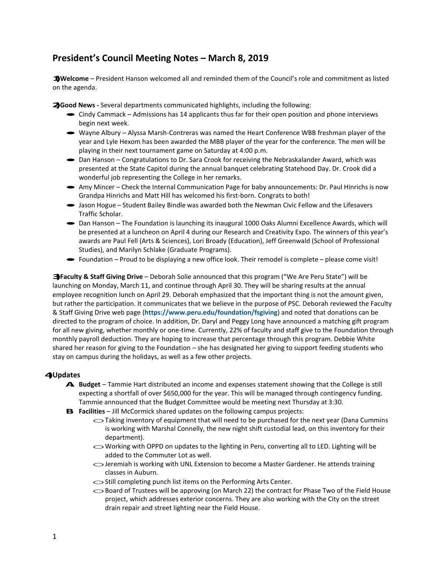## **President's Council Meeting Notes – March 8, 2019**

**1)Welcome** – President Hanson welcomed all and reminded them of the Council's role and commitment as listed on the agenda.

**2)Good News -** Several departments communicated highlights, including the following:

- · Cindy Cammack Admissions has <sup>14</sup> applicants thus far for their open position and phone interviews begin next week.
- · Wayne Albury Alyssa Marsh-Contreras was named the Heart Conference WBB freshman player of the year and Lyle Hexom has been awarded the MBB player of the year for the conference. The men will be playing in their next tournament game on Saturday at 4:00 p.m.
- Dan Hanson Congratulations to Dr. Sara Crook for receiving the Nebraskalander Award, which was presented at the State Capitol during the annual banquet celebrating Statehood Day. Dr. Crook did a wonderful job representing the College in her remarks.
- · Amy Mincer Check the Internal Communication Page for baby announcements: Dr. Paul Hinrichs is now Grandpa Hinrichs and Matt Hill has welcomed his first-born. Congrats to both!
- · Jason Hogue Student Bailey Bindle was awarded both the Newman Civic Fellow and the Lifesavers Traffic Scholar.
- Dan Hanson The Foundation is launching its inaugural 1000 Oaks Alumni Excellence Awards, which will be presented at a luncheon on April 4 during our Research and Creativity Expo. The winners of this year's awards are Paul Fell (Arts & Sciences), Lori Broady (Education), Jeff Greenwald (School of Professional Studies), and Marilyn Schlake (Graduate Programs).
- · Foundation Proud to be displaying a new office look. Their remodel is complete please come visit!

**3)Faculty & Staff Giving Drive** – Deborah Solie announced that this program ("We Are Peru State") will be launching on Monday, March 11, and continue through April 30. They will be sharing results at the annual employee recognition lunch on April 29. Deborah emphasized that the important thing is not the amount given, but rather the participation. It communicates that we believe in the purpose of PSC. Deborah reviewed the Faculty & Staff Giving Drive web page (**<https://www.peru.edu/foundation/fsgiving>**) and noted that donations can be directed to the program of choice. In addition, Dr. Daryl and Peggy Long have announced a matching gift program for all new giving, whether monthly or one-time. Currently, 22% of faculty and staff give to the Foundation through monthly payroll deduction. They are hoping to increase that percentage through this program. Debbie White shared her reason for giving to the Foundation – she has designated her giving to support feeding students who stay on campus during the holidays, as well as a few other projects.

## **4)Updates**

- **A. Budget**  Tammie Hart distributed an income and expenses statement showing that the College is still expecting a shortfall of over \$650,000 for the year. This will be managed through contingency funding. Tammie announced that the Budget Committee would be meeting next Thursday at 3:30.
- **B.** Facilities Jill McCormick shared updates on the following campus projects:
	- $\sim$  Taking inventory of equipment that will need to be purchased for the next year (Dana Cummins is working with Marshal Connelly, the new night shift custodial lead, on this inventory for their department).
	- $\sim$  Working with OPPD on updates to the lighting in Peru, converting all to LED. Lighting will be added to the Commuter Lot as well.
	- oJeremiah is working with UNL Extension to become a Master Gardener. He attends training classes in Auburn.
	- $\circ$ Still completing punch list items on the Performing Arts Center.
	- $\sim$ Board of Trustees will be approving (on March 22) the contract for Phase Two of the Field House project, which addresses exterior concerns. They are also working with the City on the street drain repair and street lighting near the Field House.